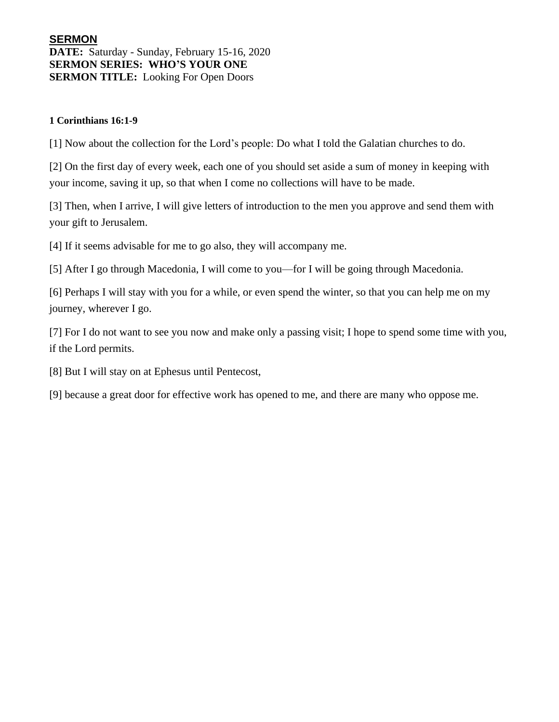## **SERMON DATE:** Saturday - Sunday, February 15-16, 2020 **SERMON SERIES: WHO'S YOUR ONE SERMON TITLE:** Looking For Open Doors

### **1 Corinthians 16:1-9**

[1] Now about the collection for the Lord's people: Do what I told the Galatian churches to do.

[2] On the first day of every week, each one of you should set aside a sum of money in keeping with your income, saving it up, so that when I come no collections will have to be made.

[3] Then, when I arrive, I will give letters of introduction to the men you approve and send them with your gift to Jerusalem.

[4] If it seems advisable for me to go also, they will accompany me.

[5] After I go through Macedonia, I will come to you—for I will be going through Macedonia.

[6] Perhaps I will stay with you for a while, or even spend the winter, so that you can help me on my journey, wherever I go.

[7] For I do not want to see you now and make only a passing visit; I hope to spend some time with you, if the Lord permits.

[8] But I will stay on at Ephesus until Pentecost,

[9] because a great door for effective work has opened to me, and there are many who oppose me.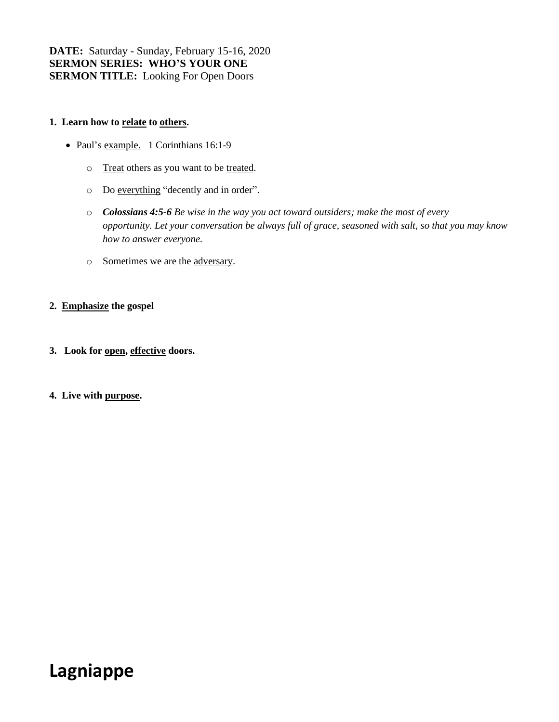**DATE:** Saturday - Sunday, February 15-16, 2020 **SERMON SERIES: WHO'S YOUR ONE SERMON TITLE:** Looking For Open Doors

#### **1. Learn how to relate to others.**

- Paul's example. 1 Corinthians 16:1-9
	- o Treat others as you want to be treated.
	- o Do everything "decently and in order".
	- o *Colossians 4:5-6 Be wise in the way you act toward outsiders; make the most of every opportunity. Let your conversation be always full of grace, seasoned with salt, so that you may know how to answer everyone.*
	- o Sometimes we are the adversary.

#### **2. Emphasize the gospel**

- **3. Look for open, effective doors.**
- **4. Live with purpose.**

# **Lagniappe**